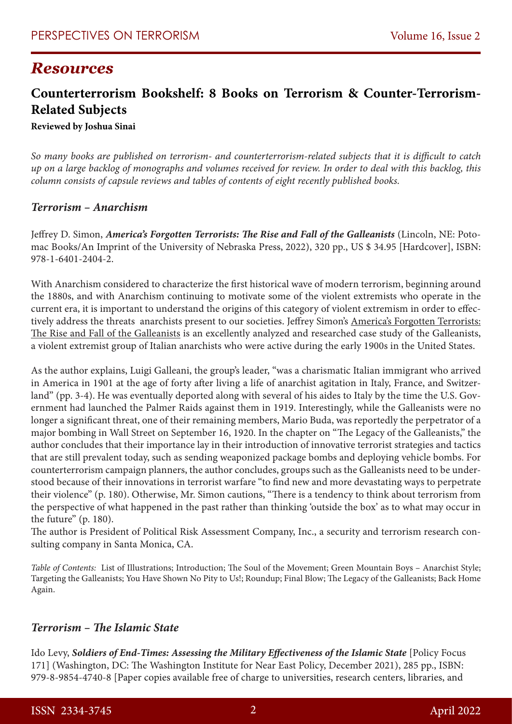# *Resources*

# **Counterterrorism Bookshelf: 8 Books on Terrorism & Counter-Terrorism-Related Subjects**

**Reviewed by Joshua Sinai** 

*So many books are published on terrorism- and counterterrorism-related subjects that it is difficult to catch up on a large backlog of monographs and volumes received for review. In order to deal with this backlog, this column consists of capsule reviews and tables of contents of eight recently published books.*

#### *Terrorism – Anarchism*

Jeffrey D. Simon, *America's Forgotten Terrorists: The Rise and Fall of the Galleanists* (Lincoln, NE: Potomac Books/An Imprint of the University of Nebraska Press, 2022), 320 pp., US \$ 34.95 [Hardcover], ISBN: 978-1-6401-2404-2.

With Anarchism considered to characterize the first historical wave of modern terrorism, beginning around the 1880s, and with Anarchism continuing to motivate some of the violent extremists who operate in the current era, it is important to understand the origins of this category of violent extremism in order to effectively address the threats anarchists present to our societies. Jeffrey Simon's America's Forgotten Terrorists: The Rise and Fall of the Galleanists is an excellently analyzed and researched case study of the Galleanists, a violent extremist group of Italian anarchists who were active during the early 1900s in the United States.

As the author explains, Luigi Galleani, the group's leader, "was a charismatic Italian immigrant who arrived in America in 1901 at the age of forty after living a life of anarchist agitation in Italy, France, and Switzerland" (pp. 3-4). He was eventually deported along with several of his aides to Italy by the time the U.S. Government had launched the Palmer Raids against them in 1919. Interestingly, while the Galleanists were no longer a significant threat, one of their remaining members, Mario Buda, was reportedly the perpetrator of a major bombing in Wall Street on September 16, 1920. In the chapter on "The Legacy of the Galleanists," the author concludes that their importance lay in their introduction of innovative terrorist strategies and tactics that are still prevalent today, such as sending weaponized package bombs and deploying vehicle bombs. For counterterrorism campaign planners, the author concludes, groups such as the Galleanists need to be understood because of their innovations in terrorist warfare "to find new and more devastating ways to perpetrate their violence" (p. 180). Otherwise, Mr. Simon cautions, "There is a tendency to think about terrorism from the perspective of what happened in the past rather than thinking 'outside the box' as to what may occur in the future" (p. 180).

The author is President of Political Risk Assessment Company, Inc., a security and terrorism research consulting company in Santa Monica, CA.

*Table of Contents:* List of Illustrations; Introduction; The Soul of the Movement; Green Mountain Boys – Anarchist Style; Targeting the Galleanists; You Have Shown No Pity to Us!; Roundup; Final Blow; The Legacy of the Galleanists; Back Home Again.

#### *Terrorism – The Islamic State*

Ido Levy, *Soldiers of End-Times: Assessing the Military Effectiveness of the Islamic State* [Policy Focus 171] (Washington, DC: The Washington Institute for Near East Policy, December 2021), 285 pp., ISBN: 979-8-9854-4740-8 [Paper copies available free of charge to universities, research centers, libraries, and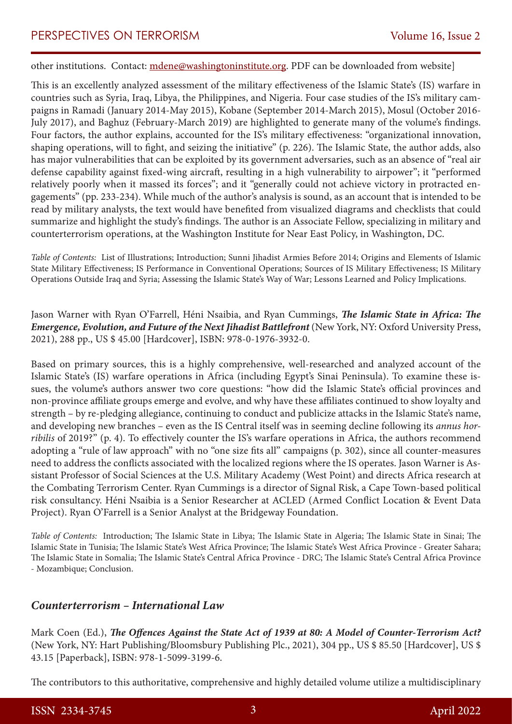other institutions. Contact: [mdene@washingtoninstitute.org.](mailto:mdene@washingtoninstitute.org) PDF can be downloaded from website]

This is an excellently analyzed assessment of the military effectiveness of the Islamic State's (IS) warfare in countries such as Syria, Iraq, Libya, the Philippines, and Nigeria. Four case studies of the IS's military campaigns in Ramadi (January 2014-May 2015), Kobane (September 2014-March 2015), Mosul (October 2016- July 2017), and Baghuz (February-March 2019) are highlighted to generate many of the volume's findings. Four factors, the author explains, accounted for the IS's military effectiveness: "organizational innovation, shaping operations, will to fight, and seizing the initiative" (p. 226). The Islamic State, the author adds, also has major vulnerabilities that can be exploited by its government adversaries, such as an absence of "real air defense capability against fixed-wing aircraft, resulting in a high vulnerability to airpower"; it "performed relatively poorly when it massed its forces"; and it "generally could not achieve victory in protracted engagements" (pp. 233-234). While much of the author's analysis is sound, as an account that is intended to be read by military analysts, the text would have benefited from visualized diagrams and checklists that could summarize and highlight the study's findings. The author is an Associate Fellow, specializing in military and counterterrorism operations, at the Washington Institute for Near East Policy, in Washington, DC.

*Table of Contents:* List of Illustrations; Introduction; Sunni Jihadist Armies Before 2014; Origins and Elements of Islamic State Military Effectiveness; IS Performance in Conventional Operations; Sources of IS Military Effectiveness; IS Military Operations Outside Iraq and Syria; Assessing the Islamic State's Way of War; Lessons Learned and Policy Implications.

Jason Warner with Ryan O'Farrell, Héni Nsaibia, and Ryan Cummings, *The Islamic State in Africa: The Emergence, Evolution, and Future of the Next Jihadist Battlefront* (New York, NY: Oxford University Press, 2021), 288 pp., US \$ 45.00 [Hardcover], ISBN: 978-0-1976-3932-0.

Based on primary sources, this is a highly comprehensive, well-researched and analyzed account of the Islamic State's (IS) warfare operations in Africa (including Egypt's Sinai Peninsula). To examine these issues, the volume's authors answer two core questions: "how did the Islamic State's official provinces and non-province affiliate groups emerge and evolve, and why have these affiliates continued to show loyalty and strength – by re-pledging allegiance, continuing to conduct and publicize attacks in the Islamic State's name, and developing new branches – even as the IS Central itself was in seeming decline following its *annus horribilis* of 2019?" (p. 4). To effectively counter the IS's warfare operations in Africa, the authors recommend adopting a "rule of law approach" with no "one size fits all" campaigns (p. 302), since all counter-measures need to address the conflicts associated with the localized regions where the IS operates. Jason Warner is Assistant Professor of Social Sciences at the U.S. Military Academy (West Point) and directs Africa research at the Combating Terrorism Center. Ryan Cummings is a director of Signal Risk, a Cape Town-based political risk consultancy. Héni Nsaibia is a Senior Researcher at ACLED (Armed Conflict Location & Event Data Project). Ryan O'Farrell is a Senior Analyst at the Bridgeway Foundation.

*Table of Contents:* Introduction; The Islamic State in Libya; The Islamic State in Algeria; The Islamic State in Sinai; The Islamic State in Tunisia; The Islamic State's West Africa Province; The Islamic State's West Africa Province - Greater Sahara; The Islamic State in Somalia; The Islamic State's Central Africa Province - DRC; The Islamic State's Central Africa Province - Mozambique; Conclusion.

#### *Counterterrorism – International Law*

Mark Coen (Ed.), *The Offences Against the State Act of 1939 at 80: A Model of Counter-Terrorism Act?* (New York, NY: Hart Publishing/Bloomsbury Publishing Plc., 2021), 304 pp., US \$ 85.50 [Hardcover], US \$ 43.15 [Paperback], ISBN: 978-1-5099-3199-6.

The contributors to this authoritative, comprehensive and highly detailed volume utilize a multidisciplinary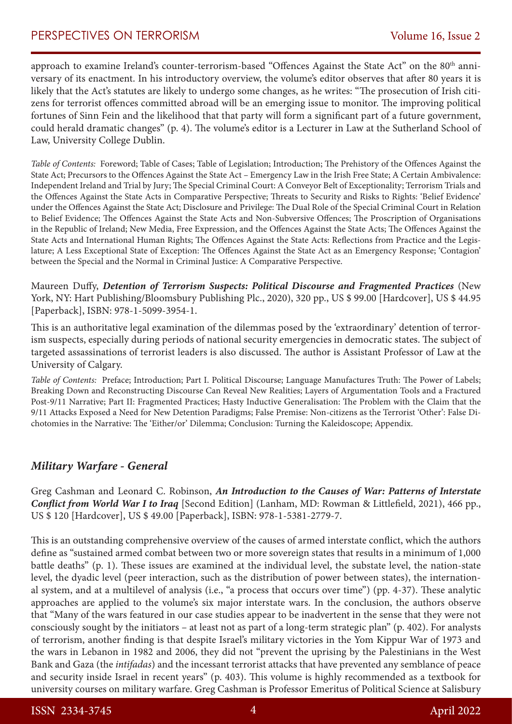approach to examine Ireland's counter-terrorism-based "Offences Against the State Act" on the 80<sup>th</sup> anniversary of its enactment. In his introductory overview, the volume's editor observes that after 80 years it is likely that the Act's statutes are likely to undergo some changes, as he writes: "The prosecution of Irish citizens for terrorist offences committed abroad will be an emerging issue to monitor. The improving political fortunes of Sinn Fein and the likelihood that that party will form a significant part of a future government, could herald dramatic changes" (p. 4). The volume's editor is a Lecturer in Law at the Sutherland School of Law, University College Dublin.

*Table of Contents:* Foreword; Table of Cases; Table of Legislation; Introduction; The Prehistory of the Offences Against the State Act; Precursors to the Offences Against the State Act – Emergency Law in the Irish Free State; A Certain Ambivalence: Independent Ireland and Trial by Jury; The Special Criminal Court: A Conveyor Belt of Exceptionality; Terrorism Trials and the Offences Against the State Acts in Comparative Perspective; Threats to Security and Risks to Rights: 'Belief Evidence' under the Offences Against the State Act; Disclosure and Privilege: The Dual Role of the Special Criminal Court in Relation to Belief Evidence; The Offences Against the State Acts and Non-Subversive Offences; The Proscription of Organisations in the Republic of Ireland; New Media, Free Expression, and the Offences Against the State Acts; The Offences Against the State Acts and International Human Rights; The Offences Against the State Acts: Reflections from Practice and the Legislature; A Less Exceptional State of Exception: The Offences Against the State Act as an Emergency Response; 'Contagion' between the Special and the Normal in Criminal Justice: A Comparative Perspective.

Maureen Duffy, *Detention of Terrorism Suspects: Political Discourse and Fragmented Practices* (New York, NY: Hart Publishing/Bloomsbury Publishing Plc., 2020), 320 pp., US \$ 99.00 [Hardcover], US \$ 44.95 [Paperback], ISBN: 978-1-5099-3954-1.

This is an authoritative legal examination of the dilemmas posed by the 'extraordinary' detention of terrorism suspects, especially during periods of national security emergencies in democratic states. The subject of targeted assassinations of terrorist leaders is also discussed. The author is Assistant Professor of Law at the University of Calgary.

*Table of Contents:* Preface; Introduction; [Part I. Political Discourse](https://www.bloomsburycollections.com/book/detention-of-terrorism-suspects-political-discourse-and-fragmented-practices/pti-political-discourse); [Language Manufactures Truth: The Power of Labels;](https://www.bloomsburycollections.com/book/detention-of-terrorism-suspects-political-discourse-and-fragmented-practices/ch1-language-manufactures-truth-the-power-of-labels) Breaking Down and Reconstructing Discourse Can Reveal New Realities; Layers of Argumentation Tools and a Fractured Post-9/11 Narrative; Part II: Fragmented Practices; Hasty Inductive Generalisation: The Problem with the Claim that the 9/11 Attacks Exposed a Need for New Detention Paradigms; False Premise: Non-citizens as the Terrorist 'Other': False Dichotomies in the Narrative: The 'Either/or' Dilemma; Conclusion: Turning the Kaleidoscope; Appendix.

## *Military Warfare - General*

Greg Cashman and Leonard C. Robinson, *An Introduction to the Causes of War: Patterns of Interstate Conflict from World War I to Iraq* [Second Edition] (Lanham, MD: Rowman & Littlefield, 2021), 466 pp., US \$ 120 [Hardcover], US \$ 49.00 [Paperback], ISBN: 978-1-5381-2779-7.

This is an outstanding comprehensive overview of the causes of armed interstate conflict, which the authors define as "sustained armed combat between two or more sovereign states that results in a minimum of 1,000 battle deaths" (p. 1). These issues are examined at the individual level, the substate level, the nation-state level, the dyadic level (peer interaction, such as the distribution of power between states), the international system, and at a multilevel of analysis (i.e., "a process that occurs over time") (pp. 4-37). These analytic approaches are applied to the volume's six major interstate wars. In the conclusion, the authors observe that "Many of the wars featured in our case studies appear to be inadvertent in the sense that they were not consciously sought by the initiators – at least not as part of a long-term strategic plan" (p. 402). For analysts of terrorism, another finding is that despite Israel's military victories in the Yom Kippur War of 1973 and the wars in Lebanon in 1982 and 2006, they did not "prevent the uprising by the Palestinians in the West Bank and Gaza (the *intifadas*) and the incessant terrorist attacks that have prevented any semblance of peace and security inside Israel in recent years" (p. 403). This volume is highly recommended as a textbook for university courses on military warfare. Greg Cashman is Professor Emeritus of Political Science at Salisbury